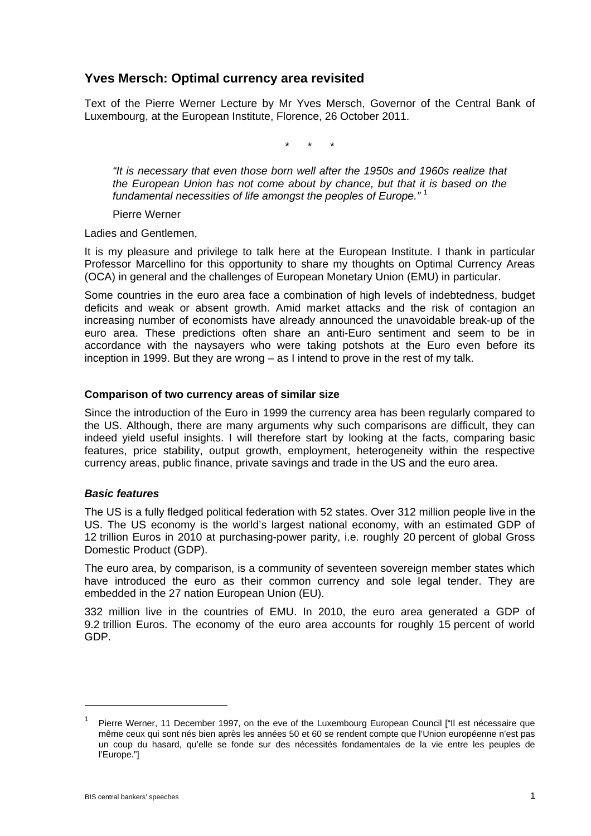# **Yves Mersch: Optimal currency area revisited**

Text of the Pierre Werner Lecture by Mr Yves Mersch, Governor of the Central Bank of Luxembourg, at the European Institute, Florence, 26 October 2011.

\* \* \*

*"It is necessary that even those born well after the 1950s and 1960s realize that the European Union has not come about by chance, but that it is based on the fundamental necessities of life amongst the peoples of Europe."* <sup>1</sup>

Pierre Werner

Ladies and Gentlemen,

It is my pleasure and privilege to talk here at the European Institute. I thank in particular Professor Marcellino for this opportunity to share my thoughts on Optimal Currency Areas (OCA) in general and the challenges of European Monetary Union (EMU) in particular.

Some countries in the euro area face a combination of high levels of indebtedness, budget deficits and weak or absent growth. Amid market attacks and the risk of contagion an increasing number of economists have already announced the unavoidable break-up of the euro area. These predictions often share an anti-Euro sentiment and seem to be in accordance with the naysayers who were taking potshots at the Euro even before its inception in 1999. But they are wrong – as I intend to prove in the rest of my talk.

### **Comparison of two currency areas of similar size**

Since the introduction of the Euro in 1999 the currency area has been regularly compared to the US. Although, there are many arguments why such comparisons are difficult, they can indeed yield useful insights. I will therefore start by looking at the facts, comparing basic features, price stability, output growth, employment, heterogeneity within the respective currency areas, public finance, private savings and trade in the US and the euro area.

## *Basic features*

The US is a fully fledged political federation with 52 states. Over 312 million people live in the US. The US economy is the world's largest national economy, with an estimated GDP of 12 trillion Euros in 2010 at purchasing-power parity, i.e. roughly 20 percent of global Gross Domestic Product (GDP).

The euro area, by comparison, is a community of seventeen sovereign member states which have introduced the euro as their common currency and sole legal tender. They are embedded in the 27 nation European Union (EU).

332 million live in the countries of EMU. In 2010, the euro area generated a GDP of 9.2 trillion Euros. The economy of the euro area accounts for roughly 15 percent of world GDP.

<sup>&</sup>lt;sup>1</sup> Pierre Werner, 11 December 1997, on the eve of the Luxembourg European Council ["Il est nécessaire que même ceux qui sont nés bien après les années 50 et 60 se rendent compte que l'Union européenne n'est pas un coup du hasard, qu'elle se fonde sur des nécessités fondamentales de la vie entre les peuples de l'Europe."]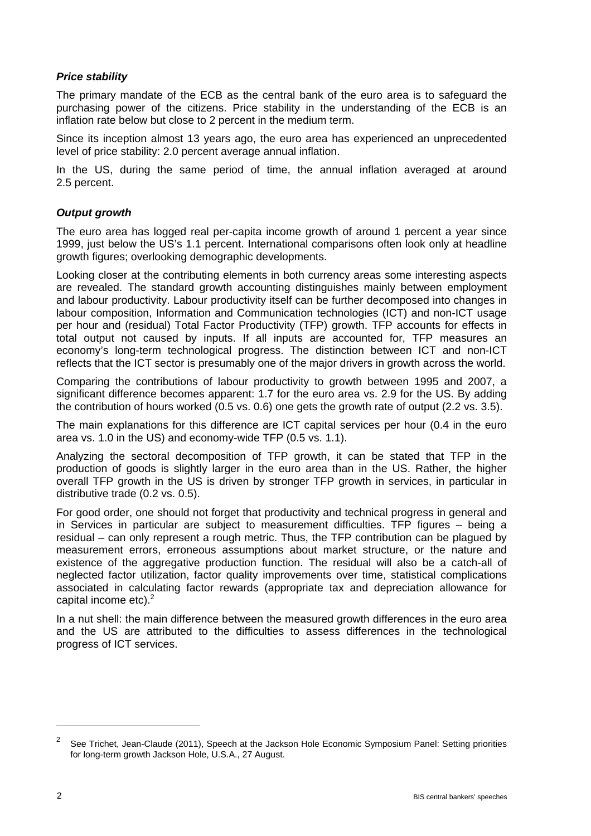## *Price stability*

The primary mandate of the ECB as the central bank of the euro area is to safeguard the purchasing power of the citizens. Price stability in the understanding of the ECB is an inflation rate below but close to 2 percent in the medium term.

Since its inception almost 13 years ago, the euro area has experienced an unprecedented level of price stability: 2.0 percent average annual inflation.

In the US, during the same period of time, the annual inflation averaged at around 2.5 percent.

## *Output growth*

The euro area has logged real per-capita income growth of around 1 percent a year since 1999. iust below the US's 1.1 percent. International comparisons often look only at headline growth figures; overlooking demographic developments.

Looking closer at the contributing elements in both currency areas some interesting aspects are revealed. The standard growth accounting distinguishes mainly between employment and labour productivity. Labour productivity itself can be further decomposed into changes in labour composition, Information and Communication technologies (ICT) and non-ICT usage per hour and (residual) Total Factor Productivity (TFP) growth. TFP accounts for effects in total output not caused by inputs. If all inputs are accounted for, TFP measures an economy's long-term technological progress. The distinction between ICT and non-ICT reflects that the ICT sector is presumably one of the major drivers in growth across the world.

Comparing the contributions of labour productivity to growth between 1995 and 2007, a significant difference becomes apparent: 1.7 for the euro area vs. 2.9 for the US. By adding the contribution of hours worked (0.5 vs. 0.6) one gets the growth rate of output (2.2 vs. 3.5).

The main explanations for this difference are ICT capital services per hour (0.4 in the euro area vs. 1.0 in the US) and economy-wide TFP (0.5 vs. 1.1).

Analyzing the sectoral decomposition of TFP growth, it can be stated that TFP in the production of goods is slightly larger in the euro area than in the US. Rather, the higher overall TFP growth in the US is driven by stronger TFP growth in services, in particular in distributive trade (0.2 vs. 0.5).

For good order, one should not forget that productivity and technical progress in general and in Services in particular are subject to measurement difficulties. TFP figures – being a residual – can only represent a rough metric. Thus, the TFP contribution can be plagued by measurement errors, erroneous assumptions about market structure, or the nature and existence of the aggregative production function. The residual will also be a catch-all of neglected factor utilization, factor quality improvements over time, statistical complications associated in calculating factor rewards (appropriate tax and depreciation allowance for capital income etc). $<sup>2</sup>$ </sup>

In a nut shell: the main difference between the measured growth differences in the euro area and the US are attributed to the difficulties to assess differences in the technological progress of ICT services.

<sup>2</sup> See Trichet, Jean-Claude (2011), Speech at the Jackson Hole Economic Symposium Panel: Setting priorities for long-term growth Jackson Hole, U.S.A., 27 August.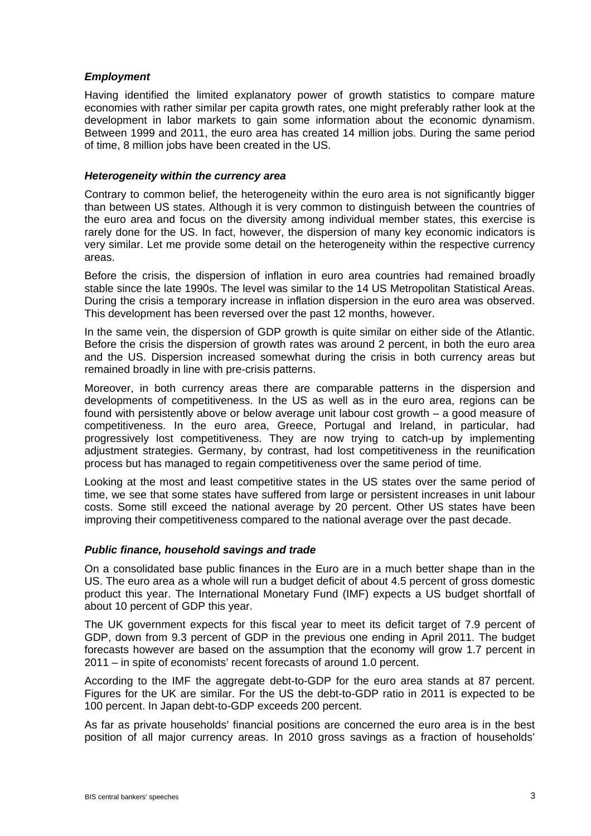## *Employment*

Having identified the limited explanatory power of growth statistics to compare mature economies with rather similar per capita growth rates, one might preferably rather look at the development in labor markets to gain some information about the economic dynamism. Between 1999 and 2011, the euro area has created 14 million jobs. During the same period of time, 8 million jobs have been created in the US.

## *Heterogeneity within the currency area*

Contrary to common belief, the heterogeneity within the euro area is not significantly bigger than between US states. Although it is very common to distinguish between the countries of the euro area and focus on the diversity among individual member states, this exercise is rarely done for the US. In fact, however, the dispersion of many key economic indicators is very similar. Let me provide some detail on the heterogeneity within the respective currency areas.

Before the crisis, the dispersion of inflation in euro area countries had remained broadly stable since the late 1990s. The level was similar to the 14 US Metropolitan Statistical Areas. During the crisis a temporary increase in inflation dispersion in the euro area was observed. This development has been reversed over the past 12 months, however.

In the same vein, the dispersion of GDP growth is quite similar on either side of the Atlantic. Before the crisis the dispersion of growth rates was around 2 percent, in both the euro area and the US. Dispersion increased somewhat during the crisis in both currency areas but remained broadly in line with pre-crisis patterns.

Moreover, in both currency areas there are comparable patterns in the dispersion and developments of competitiveness. In the US as well as in the euro area, regions can be found with persistently above or below average unit labour cost growth – a good measure of competitiveness. In the euro area, Greece, Portugal and Ireland, in particular, had progressively lost competitiveness. They are now trying to catch-up by implementing adjustment strategies. Germany, by contrast, had lost competitiveness in the reunification process but has managed to regain competitiveness over the same period of time.

Looking at the most and least competitive states in the US states over the same period of time, we see that some states have suffered from large or persistent increases in unit labour costs. Some still exceed the national average by 20 percent. Other US states have been improving their competitiveness compared to the national average over the past decade.

## *Public finance, household savings and trade*

On a consolidated base public finances in the Euro are in a much better shape than in the US. The euro area as a whole will run a budget deficit of about 4.5 percent of gross domestic product this year. The International Monetary Fund (IMF) expects a US budget shortfall of about 10 percent of GDP this year.

The UK government expects for this fiscal year to meet its deficit target of 7.9 percent of GDP, down from 9.3 percent of GDP in the previous one ending in April 2011. The budget forecasts however are based on the assumption that the economy will grow 1.7 percent in 2011 – in spite of economists' recent forecasts of around 1.0 percent.

According to the IMF the aggregate debt-to-GDP for the euro area stands at 87 percent. Figures for the UK are similar. For the US the debt-to-GDP ratio in 2011 is expected to be 100 percent. In Japan debt-to-GDP exceeds 200 percent.

As far as private households' financial positions are concerned the euro area is in the best position of all major currency areas. In 2010 gross savings as a fraction of households'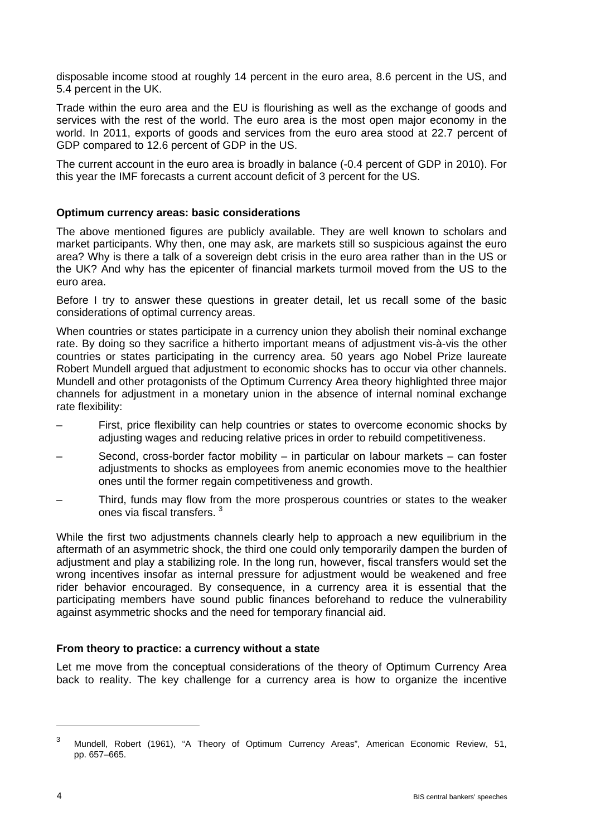disposable income stood at roughly 14 percent in the euro area, 8.6 percent in the US, and 5.4 percent in the UK.

Trade within the euro area and the EU is flourishing as well as the exchange of goods and services with the rest of the world. The euro area is the most open major economy in the world. In 2011, exports of goods and services from the euro area stood at 22.7 percent of GDP compared to 12.6 percent of GDP in the US.

The current account in the euro area is broadly in balance (-0.4 percent of GDP in 2010). For this year the IMF forecasts a current account deficit of 3 percent for the US.

## **Optimum currency areas: basic considerations**

The above mentioned figures are publicly available. They are well known to scholars and market participants. Why then, one may ask, are markets still so suspicious against the euro area? Why is there a talk of a sovereign debt crisis in the euro area rather than in the US or the UK? And why has the epicenter of financial markets turmoil moved from the US to the euro area.

Before I try to answer these questions in greater detail, let us recall some of the basic considerations of optimal currency areas.

When countries or states participate in a currency union they abolish their nominal exchange rate. By doing so they sacrifice a hitherto important means of adjustment vis-à-vis the other countries or states participating in the currency area. 50 years ago Nobel Prize laureate Robert Mundell argued that adjustment to economic shocks has to occur via other channels. Mundell and other protagonists of the Optimum Currency Area theory highlighted three major channels for adjustment in a monetary union in the absence of internal nominal exchange rate flexibility:

- First, price flexibility can help countries or states to overcome economic shocks by adjusting wages and reducing relative prices in order to rebuild competitiveness.
- Second, cross-border factor mobility in particular on labour markets can foster adjustments to shocks as employees from anemic economies move to the healthier ones until the former regain competitiveness and growth.
- Third, funds may flow from the more prosperous countries or states to the weaker ones via fiscal transfers. 3

While the first two adjustments channels clearly help to approach a new equilibrium in the aftermath of an asymmetric shock, the third one could only temporarily dampen the burden of adjustment and play a stabilizing role. In the long run, however, fiscal transfers would set the wrong incentives insofar as internal pressure for adjustment would be weakened and free rider behavior encouraged. By consequence, in a currency area it is essential that the participating members have sound public finances beforehand to reduce the vulnerability against asymmetric shocks and the need for temporary financial aid.

#### **From theory to practice: a currency without a state**

Let me move from the conceptual considerations of the theory of Optimum Currency Area back to reality. The key challenge for a currency area is how to organize the incentive

<sup>3</sup> Mundell, Robert (1961), "A Theory of Optimum Currency Areas", American Economic Review, 51, pp. 657–665.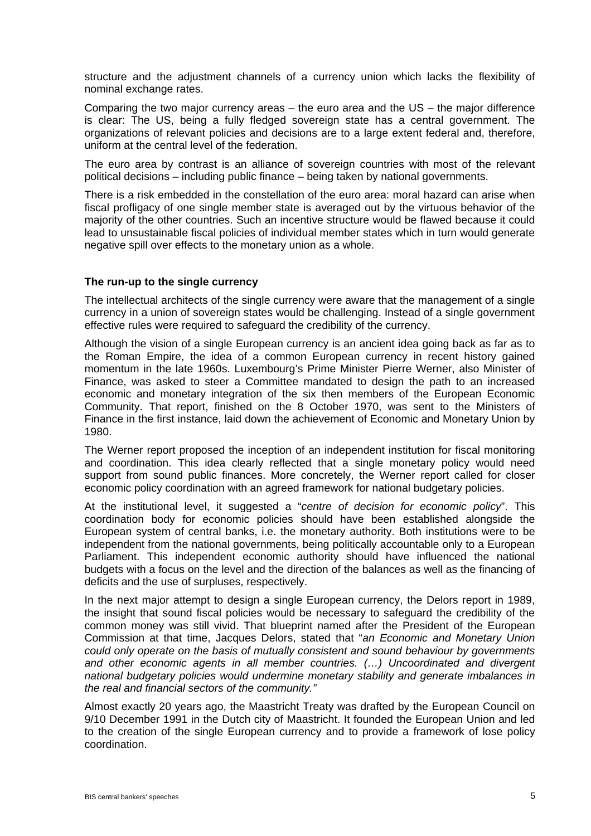structure and the adjustment channels of a currency union which lacks the flexibility of nominal exchange rates.

Comparing the two major currency areas – the euro area and the US – the major difference is clear: The US, being a fully fledged sovereign state has a central government. The organizations of relevant policies and decisions are to a large extent federal and, therefore, uniform at the central level of the federation.

The euro area by contrast is an alliance of sovereign countries with most of the relevant political decisions – including public finance – being taken by national governments.

There is a risk embedded in the constellation of the euro area: moral hazard can arise when fiscal profligacy of one single member state is averaged out by the virtuous behavior of the majority of the other countries. Such an incentive structure would be flawed because it could lead to unsustainable fiscal policies of individual member states which in turn would generate negative spill over effects to the monetary union as a whole.

### **The run-up to the single currency**

The intellectual architects of the single currency were aware that the management of a single currency in a union of sovereign states would be challenging. Instead of a single government effective rules were required to safeguard the credibility of the currency.

Although the vision of a single European currency is an ancient idea going back as far as to the Roman Empire, the idea of a common European currency in recent history gained momentum in the late 1960s. Luxembourg's Prime Minister Pierre Werner, also Minister of Finance, was asked to steer a Committee mandated to design the path to an increased economic and monetary integration of the six then members of the European Economic Community. That report, finished on the 8 October 1970, was sent to the Ministers of Finance in the first instance, laid down the achievement of Economic and Monetary Union by 1980.

The Werner report proposed the inception of an independent institution for fiscal monitoring and coordination. This idea clearly reflected that a single monetary policy would need support from sound public finances. More concretely, the Werner report called for closer economic policy coordination with an agreed framework for national budgetary policies.

At the institutional level, it suggested a "*centre of decision for economic policy*". This coordination body for economic policies should have been established alongside the European system of central banks, i.e. the monetary authority. Both institutions were to be independent from the national governments, being politically accountable only to a European Parliament. This independent economic authority should have influenced the national budgets with a focus on the level and the direction of the balances as well as the financing of deficits and the use of surpluses, respectively.

In the next major attempt to design a single European currency, the Delors report in 1989, the insight that sound fiscal policies would be necessary to safeguard the credibility of the common money was still vivid. That blueprint named after the President of the European Commission at that time, Jacques Delors, stated that "*an Economic and Monetary Union could only operate on the basis of mutually consistent and sound behaviour by governments*  and other economic agents in all member countries. (...) Uncoordinated and divergent *national budgetary policies would undermine monetary stability and generate imbalances in the real and financial sectors of the community."*

Almost exactly 20 years ago, the Maastricht Treaty was drafted by the European Council on 9/10 December 1991 in the Dutch city of Maastricht. It founded the European Union and led to the creation of the single European currency and to provide a framework of lose policy coordination.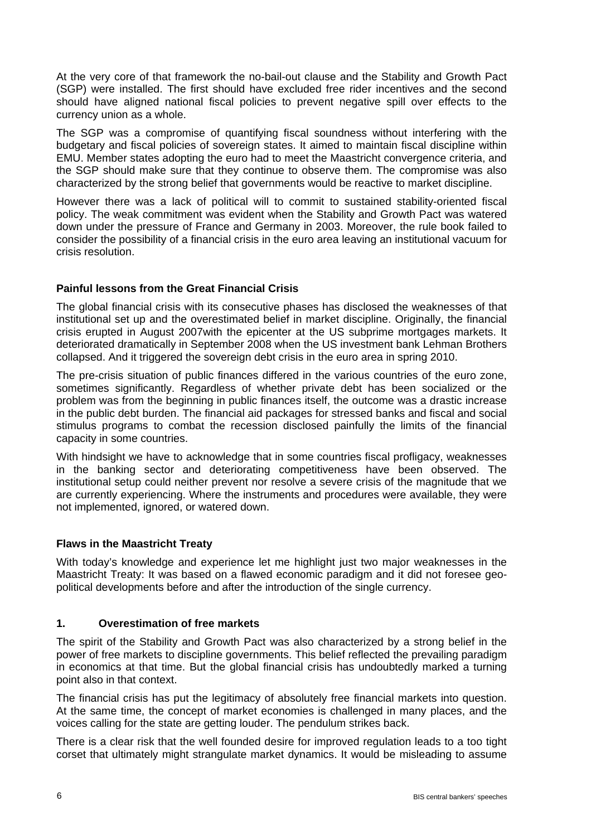At the very core of that framework the no-bail-out clause and the Stability and Growth Pact (SGP) were installed. The first should have excluded free rider incentives and the second should have aligned national fiscal policies to prevent negative spill over effects to the currency union as a whole.

The SGP was a compromise of quantifying fiscal soundness without interfering with the budgetary and fiscal policies of sovereign states. It aimed to maintain fiscal discipline within EMU. Member states adopting the euro had to meet the Maastricht convergence criteria, and the SGP should make sure that they continue to observe them. The compromise was also characterized by the strong belief that governments would be reactive to market discipline.

However there was a lack of political will to commit to sustained stability-oriented fiscal policy. The weak commitment was evident when the Stability and Growth Pact was watered down under the pressure of France and Germany in 2003. Moreover, the rule book failed to consider the possibility of a financial crisis in the euro area leaving an institutional vacuum for crisis resolution.

## **Painful lessons from the Great Financial Crisis**

The global financial crisis with its consecutive phases has disclosed the weaknesses of that institutional set up and the overestimated belief in market discipline. Originally, the financial crisis erupted in August 2007with the epicenter at the US subprime mortgages markets. It deteriorated dramatically in September 2008 when the US investment bank Lehman Brothers collapsed. And it triggered the sovereign debt crisis in the euro area in spring 2010.

The pre-crisis situation of public finances differed in the various countries of the euro zone, sometimes significantly. Regardless of whether private debt has been socialized or the problem was from the beginning in public finances itself, the outcome was a drastic increase in the public debt burden. The financial aid packages for stressed banks and fiscal and social stimulus programs to combat the recession disclosed painfully the limits of the financial capacity in some countries.

With hindsight we have to acknowledge that in some countries fiscal profligacy, weaknesses in the banking sector and deteriorating competitiveness have been observed. The institutional setup could neither prevent nor resolve a severe crisis of the magnitude that we are currently experiencing. Where the instruments and procedures were available, they were not implemented, ignored, or watered down.

# **Flaws in the Maastricht Treaty**

With today's knowledge and experience let me highlight just two major weaknesses in the Maastricht Treaty: It was based on a flawed economic paradigm and it did not foresee geopolitical developments before and after the introduction of the single currency.

## **1. Overestimation of free markets**

The spirit of the Stability and Growth Pact was also characterized by a strong belief in the power of free markets to discipline governments. This belief reflected the prevailing paradigm in economics at that time. But the global financial crisis has undoubtedly marked a turning point also in that context.

The financial crisis has put the legitimacy of absolutely free financial markets into question. At the same time, the concept of market economies is challenged in many places, and the voices calling for the state are getting louder. The pendulum strikes back.

There is a clear risk that the well founded desire for improved regulation leads to a too tight corset that ultimately might strangulate market dynamics. It would be misleading to assume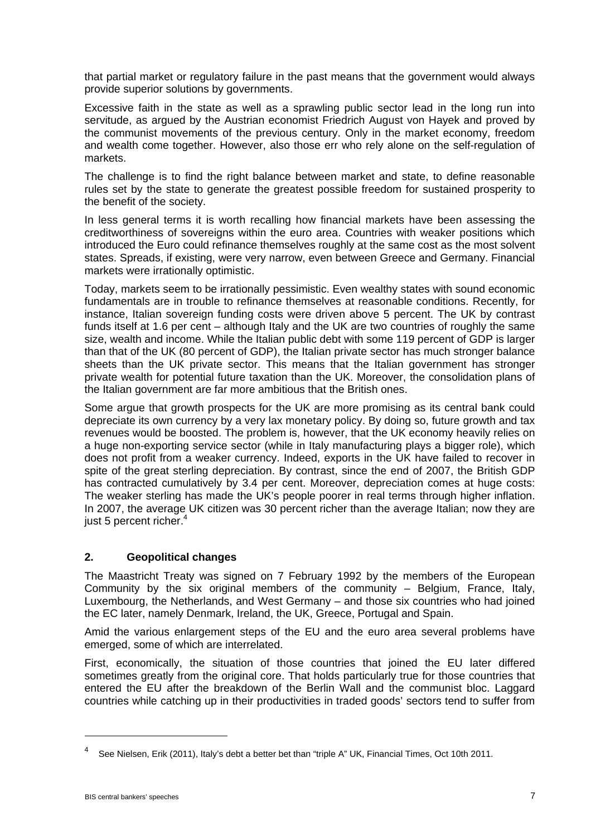that partial market or regulatory failure in the past means that the government would always provide superior solutions by governments.

Excessive faith in the state as well as a sprawling public sector lead in the long run into servitude, as argued by the Austrian economist Friedrich August von Hayek and proved by the communist movements of the previous century. Only in the market economy, freedom and wealth come together. However, also those err who rely alone on the self-regulation of markets.

The challenge is to find the right balance between market and state, to define reasonable rules set by the state to generate the greatest possible freedom for sustained prosperity to the benefit of the society.

In less general terms it is worth recalling how financial markets have been assessing the creditworthiness of sovereigns within the euro area. Countries with weaker positions which introduced the Euro could refinance themselves roughly at the same cost as the most solvent states. Spreads, if existing, were very narrow, even between Greece and Germany. Financial markets were irrationally optimistic.

Today, markets seem to be irrationally pessimistic. Even wealthy states with sound economic fundamentals are in trouble to refinance themselves at reasonable conditions. Recently, for instance, Italian sovereign funding costs were driven above 5 percent. The UK by contrast funds itself at 1.6 per cent – although Italy and the UK are two countries of roughly the same size, wealth and income. While the Italian public debt with some 119 percent of GDP is larger than that of the UK (80 percent of GDP), the Italian private sector has much stronger balance sheets than the UK private sector. This means that the Italian government has stronger private wealth for potential future taxation than the UK. Moreover, the consolidation plans of the Italian government are far more ambitious that the British ones.

Some argue that growth prospects for the UK are more promising as its central bank could depreciate its own currency by a very lax monetary policy. By doing so, future growth and tax revenues would be boosted. The problem is, however, that the UK economy heavily relies on a huge non-exporting service sector (while in Italy manufacturing plays a bigger role), which does not profit from a weaker currency. Indeed, exports in the UK have failed to recover in spite of the great sterling depreciation. By contrast, since the end of 2007, the British GDP has contracted cumulatively by 3.4 per cent. Moreover, depreciation comes at huge costs: The weaker sterling has made the UK's people poorer in real terms through higher inflation. In 2007, the average UK citizen was 30 percent richer than the average Italian; now they are just 5 percent richer.<sup>4</sup>

## **2. Geopolitical changes**

The Maastricht Treaty was signed on 7 February 1992 by the members of the European Community by the six original members of the community – Belgium, France, Italy, Luxembourg, the Netherlands, and West Germany – and those six countries who had joined the EC later, namely Denmark, Ireland, the UK, Greece, Portugal and Spain.

Amid the various enlargement steps of the EU and the euro area several problems have emerged, some of which are interrelated.

First, economically, the situation of those countries that joined the EU later differed sometimes greatly from the original core. That holds particularly true for those countries that entered the EU after the breakdown of the Berlin Wall and the communist bloc. Laggard countries while catching up in their productivities in traded goods' sectors tend to suffer from

 $\overline{a}$ 

See Nielsen, Erik (2011), Italy's debt a better bet than "triple A" UK, Financial Times, Oct 10th 2011.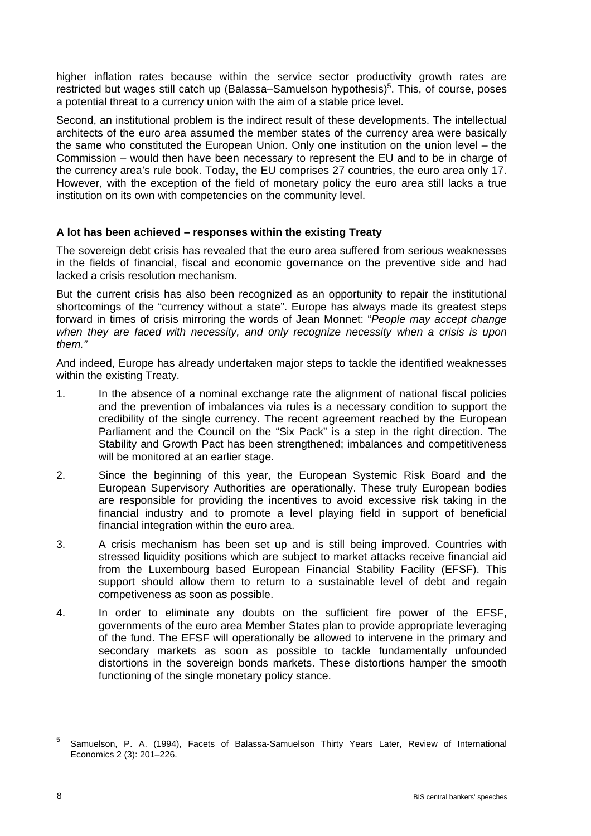higher inflation rates because within the service sector productivity growth rates are restricted but wages still catch up (Balassa–Samuelson hypothesis)<sup>5</sup>. This, of course, poses a potential threat to a currency union with the aim of a stable price level.

Second, an institutional problem is the indirect result of these developments. The intellectual architects of the euro area assumed the member states of the currency area were basically the same who constituted the European Union. Only one institution on the union level – the Commission – would then have been necessary to represent the EU and to be in charge of the currency area's rule book. Today, the EU comprises 27 countries, the euro area only 17. However, with the exception of the field of monetary policy the euro area still lacks a true institution on its own with competencies on the community level.

# **A lot has been achieved – responses within the existing Treaty**

The sovereign debt crisis has revealed that the euro area suffered from serious weaknesses in the fields of financial, fiscal and economic governance on the preventive side and had lacked a crisis resolution mechanism.

But the current crisis has also been recognized as an opportunity to repair the institutional shortcomings of the "currency without a state". Europe has always made its greatest steps forward in times of crisis mirroring the words of Jean Monnet: "*People may accept change when they are faced with necessity, and only recognize necessity when a crisis is upon them."*

And indeed, Europe has already undertaken major steps to tackle the identified weaknesses within the existing Treaty.

- 1. In the absence of a nominal exchange rate the alignment of national fiscal policies and the prevention of imbalances via rules is a necessary condition to support the credibility of the single currency. The recent agreement reached by the European Parliament and the Council on the "Six Pack" is a step in the right direction. The Stability and Growth Pact has been strengthened; imbalances and competitiveness will be monitored at an earlier stage.
- 2. Since the beginning of this year, the European Systemic Risk Board and the European Supervisory Authorities are operationally. These truly European bodies are responsible for providing the incentives to avoid excessive risk taking in the financial industry and to promote a level playing field in support of beneficial financial integration within the euro area.
- 3. A crisis mechanism has been set up and is still being improved. Countries with stressed liquidity positions which are subject to market attacks receive financial aid from the Luxembourg based European Financial Stability Facility (EFSF). This support should allow them to return to a sustainable level of debt and regain competiveness as soon as possible.
- 4. In order to eliminate any doubts on the sufficient fire power of the EFSF, governments of the euro area Member States plan to provide appropriate leveraging of the fund. The EFSF will operationally be allowed to intervene in the primary and secondary markets as soon as possible to tackle fundamentally unfounded distortions in the sovereign bonds markets. These distortions hamper the smooth functioning of the single monetary policy stance.

<sup>5</sup> Samuelson, P. A. (1994), Facets of Balassa-Samuelson Thirty Years Later, Review of International Economics 2 (3): 201–226.